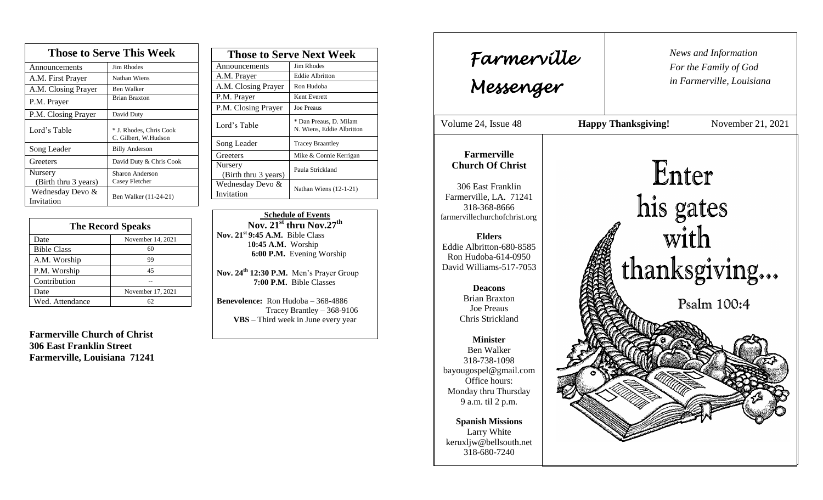| <b>Those to Serve This Week</b> |                                                 |  |
|---------------------------------|-------------------------------------------------|--|
| Announcements                   | Jim Rhodes                                      |  |
| A.M. First Prayer               | Nathan Wiens                                    |  |
| A.M. Closing Prayer             | Ben Walker                                      |  |
| P.M. Prayer                     | <b>Brian Braxton</b>                            |  |
| P.M. Closing Prayer             | David Duty                                      |  |
| Lord's Table                    | * J. Rhodes, Chris Cook<br>C. Gilbert, W.Hudson |  |
| Song Leader                     | <b>Billy Anderson</b>                           |  |
| Greeters                        | David Duty & Chris Cook                         |  |
| Nursery<br>(Birth thru 3 years) | Sharon Anderson<br>Casey Fletcher               |  |
| Wednesday Devo &<br>Invitation  | Ben Walker (11-24-21)                           |  |

| <b>The Record Speaks</b> |                   |
|--------------------------|-------------------|
| Date                     | November 14, 2021 |
| <b>Bible Class</b>       | 60                |
| A.M. Worship             | 99                |
| P.M. Worship             | 45                |
| Contribution             |                   |
| Date                     | November 17, 2021 |
| Wed. Attendance          | 62                |

**Farmerville Church of Christ 306 East Franklin Street Farmerville, Louisiana 71241**

| <b>Those to Serve Next Week</b> |                                                     |
|---------------------------------|-----------------------------------------------------|
| Announcements                   | Jim Rhodes                                          |
| A.M. Prayer                     | Eddie Albritton                                     |
| A.M. Closing Prayer             | Ron Hudoba                                          |
| P.M. Prayer                     | Kent Everett                                        |
| P.M. Closing Prayer             | <b>Joe Preaus</b>                                   |
| Lord's Table                    | * Dan Preaus, D. Milam<br>N. Wiens, Eddie Albritton |
| Song Leader                     | <b>Tracey Braantley</b>                             |
| Greeters                        | Mike & Connie Kerrigan                              |
| Nursery<br>(Birth thru 3 years) | Paula Strickland                                    |
| Wednesday Devo &<br>Invitation  | Nathan Wiens $(12-1-21)$                            |

 **Schedule of Events Nov. 21st thru Nov.27 th Nov. 21st 9:45 A.M.** Bible Class 1**0:45 A.M.** Worship  **6:00 P.M.** Evening Worship

**Nov. 24th 12:30 P.M.** Men's Prayer Group **7:00 P.M.** Bible Classes

**Benevolence:** Ron Hudoba – 368-4886 Tracey Brantley – 368-9106 **VBS** – Third week in June every year